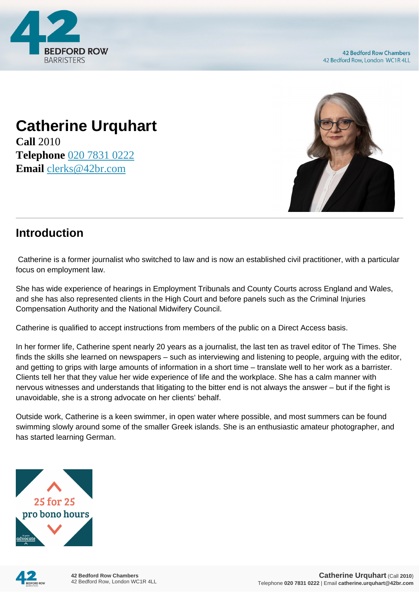

# **Catherine Urquhart**

**Call** 2010 **Telephone** [020 7831 0222](https://pdf.codeshore.co/_42br/tel:020 7831 0222) **Email** [clerks@42br.com](mailto:clerks@42br.com)



## **Introduction**

 Catherine is a former journalist who switched to law and is now an established civil practitioner, with a particular focus on employment law.

She has wide experience of hearings in Employment Tribunals and County Courts across England and Wales, and she has also represented clients in the High Court and before panels such as the Criminal Injuries Compensation Authority and the National Midwifery Council.

Catherine is qualified to accept instructions from members of the public on a Direct Access basis.

In her former life, Catherine spent nearly 20 years as a journalist, the last ten as travel editor of The Times. She finds the skills she learned on newspapers – such as interviewing and listening to people, arguing with the editor, and getting to grips with large amounts of information in a short time – translate well to her work as a barrister. Clients tell her that they value her wide experience of life and the workplace. She has a calm manner with nervous witnesses and understands that litigating to the bitter end is not always the answer – but if the fight is unavoidable, she is a strong advocate on her clients' behalf.

Outside work, Catherine is a keen swimmer, in open water where possible, and most summers can be found swimming slowly around some of the smaller Greek islands. She is an enthusiastic amateur photographer, and has started learning German.



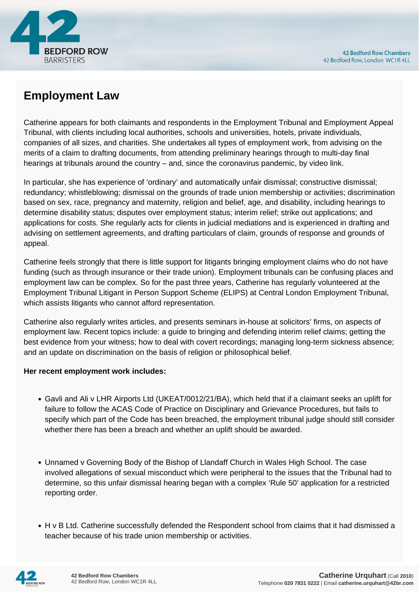

# **Employment Law**

Catherine appears for both claimants and respondents in the Employment Tribunal and Employment Appeal Tribunal, with clients including local authorities, schools and universities, hotels, private individuals, companies of all sizes, and charities. She undertakes all types of employment work, from advising on the merits of a claim to drafting documents, from attending preliminary hearings through to multi-day final hearings at tribunals around the country – and, since the coronavirus pandemic, by video link.

In particular, she has experience of 'ordinary' and automatically unfair dismissal; constructive dismissal; redundancy; whistleblowing; dismissal on the grounds of trade union membership or activities; discrimination based on sex, race, pregnancy and maternity, religion and belief, age, and disability, including hearings to determine disability status; disputes over employment status; interim relief; strike out applications; and applications for costs. She regularly acts for clients in judicial mediations and is experienced in drafting and advising on settlement agreements, and drafting particulars of claim, grounds of response and grounds of appeal.

Catherine feels strongly that there is little support for litigants bringing employment claims who do not have funding (such as through insurance or their trade union). Employment tribunals can be confusing places and employment law can be complex. So for the past three years, Catherine has regularly volunteered at the Employment Tribunal Litigant in Person Support Scheme (ELIPS) at Central London Employment Tribunal, which assists litigants who cannot afford representation.

Catherine also regularly writes articles, and presents seminars in-house at solicitors' firms, on aspects of employment law. Recent topics include: a guide to bringing and defending interim relief claims; getting the best evidence from your witness; how to deal with covert recordings; managing long-term sickness absence; and an update on discrimination on the basis of religion or philosophical belief.

#### **Her recent employment work includes:**

- Gavli and Ali v LHR Airports Ltd (UKEAT/0012/21/BA), which held that if a claimant seeks an uplift for failure to follow the ACAS Code of Practice on Disciplinary and Grievance Procedures, but fails to specify which part of the Code has been breached, the employment tribunal judge should still consider whether there has been a breach and whether an uplift should be awarded.
- Unnamed v Governing Body of the Bishop of Llandaff Church in Wales High School. The case involved allegations of sexual misconduct which were peripheral to the issues that the Tribunal had to determine, so this unfair dismissal hearing began with a complex 'Rule 50' application for a restricted reporting order.
- H v B Ltd. Catherine successfully defended the Respondent school from claims that it had dismissed a teacher because of his trade union membership or activities.

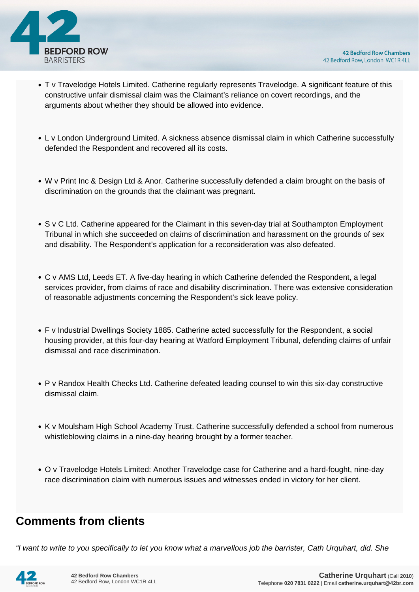

- T v Travelodge Hotels Limited. Catherine regularly represents Travelodge. A significant feature of this constructive unfair dismissal claim was the Claimant's reliance on covert recordings, and the arguments about whether they should be allowed into evidence.
- L v London Underground Limited. A sickness absence dismissal claim in which Catherine successfully defended the Respondent and recovered all its costs.
- W v Print Inc & Design Ltd & Anor. Catherine successfully defended a claim brought on the basis of discrimination on the grounds that the claimant was pregnant.
- S v C Ltd. Catherine appeared for the Claimant in this seven-day trial at Southampton Employment Tribunal in which she succeeded on claims of discrimination and harassment on the grounds of sex and disability. The Respondent's application for a reconsideration was also defeated.
- C v AMS Ltd, Leeds ET. A five-day hearing in which Catherine defended the Respondent, a legal services provider, from claims of race and disability discrimination. There was extensive consideration of reasonable adjustments concerning the Respondent's sick leave policy.
- F v Industrial Dwellings Society 1885. Catherine acted successfully for the Respondent, a social housing provider, at this four-day hearing at Watford Employment Tribunal, defending claims of unfair dismissal and race discrimination.
- P v Randox Health Checks Ltd. Catherine defeated leading counsel to win this six-day constructive dismissal claim.
- K v Moulsham High School Academy Trust. Catherine successfully defended a school from numerous whistleblowing claims in a nine-day hearing brought by a former teacher.
- O v Travelodge Hotels Limited: Another Travelodge case for Catherine and a hard-fought, nine-day race discrimination claim with numerous issues and witnesses ended in victory for her client.

## **Comments from clients**

"I want to write to you specifically to let you know what a marvellous job the barrister, Cath Urquhart, did. She